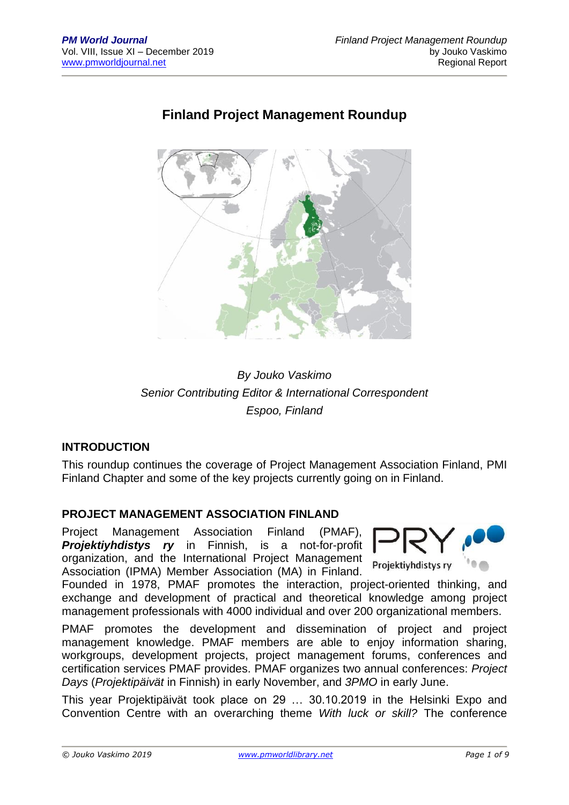# **Finland Project Management Roundup**



# *By Jouko Vaskimo Senior Contributing Editor & International Correspondent Espoo, Finland*

#### **INTRODUCTION**

This roundup continues the coverage of Project Management Association Finland, PMI Finland Chapter and some of the key projects currently going on in Finland.

#### **PROJECT MANAGEMENT ASSOCIATION FINLAND**

Project Management Association Finland (PMAF), *Projektiyhdistys ry* in Finnish, is a not-for-profit organization, and the International Project Management Association (IPMA) Member Association (MA) in Finland.



Founded in 1978, PMAF promotes the interaction, project-oriented thinking, and exchange and development of practical and theoretical knowledge among project management professionals with 4000 individual and over 200 organizational members.

PMAF promotes the development and dissemination of project and project management knowledge. PMAF members are able to enjoy information sharing, workgroups, development projects, project management forums, conferences and certification services PMAF provides. PMAF organizes two annual conferences: *Project Days* (*Projektipäivät* in Finnish) in early November, and *3PMO* in early June.

This year Projektipäivät took place on 29 … 30.10.2019 in the Helsinki Expo and Convention Centre with an overarching theme *With luck or skill?* The conference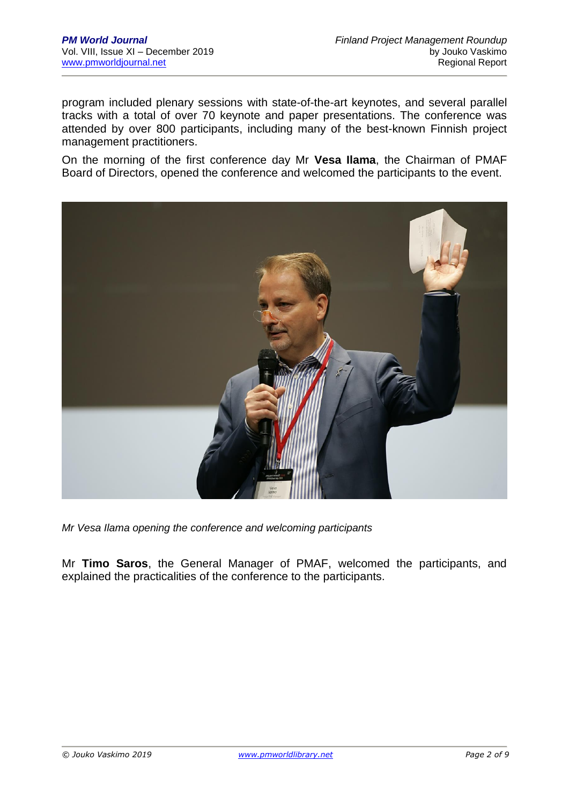program included plenary sessions with state-of-the-art keynotes, and several parallel tracks with a total of over 70 keynote and paper presentations. The conference was attended by over 800 participants, including many of the best-known Finnish project management practitioners.

On the morning of the first conference day Mr **Vesa Ilama**, the Chairman of PMAF Board of Directors, opened the conference and welcomed the participants to the event.



*Mr Vesa Ilama opening the conference and welcoming participants*

Mr **Timo Saros**, the General Manager of PMAF, welcomed the participants, and explained the practicalities of the conference to the participants.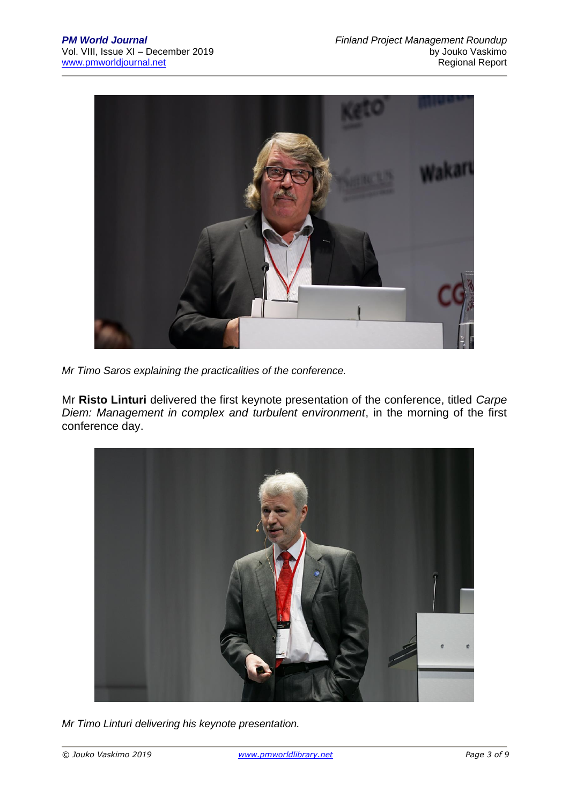

*Mr Timo Saros explaining the practicalities of the conference.*

Mr **Risto Linturi** delivered the first keynote presentation of the conference, titled *Carpe Diem: Management in complex and turbulent environment*, in the morning of the first conference day.



*Mr Timo Linturi delivering his keynote presentation.*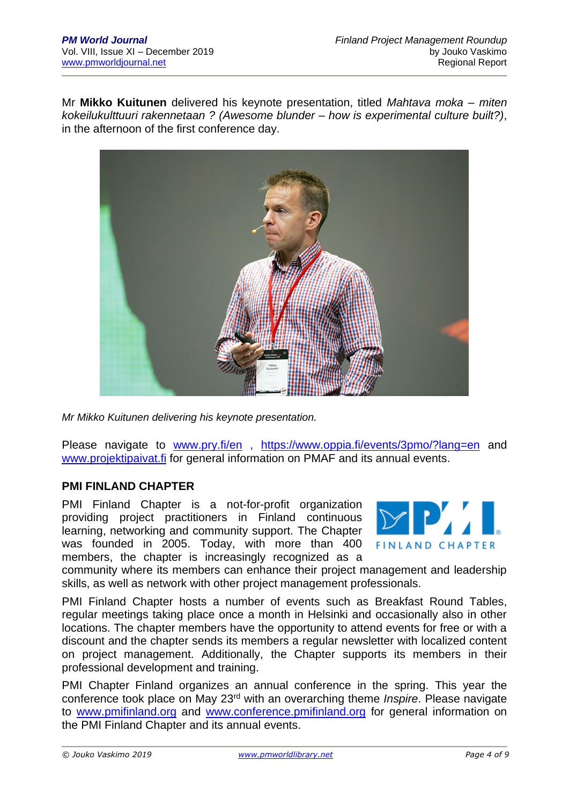Mr **Mikko Kuitunen** delivered his keynote presentation, titled *Mahtava moka – miten kokeilukulttuuri rakennetaan ? (Awesome blunder – how is experimental culture built?)*, in the afternoon of the first conference day.



*Mr Mikko Kuitunen delivering his keynote presentation.*

Please navigate to [www.pry.fi/en](http://www.pry.fi/en) , <https://www.oppia.fi/events/3pmo/?lang=en> and [www.projektipaivat.fi](http://www.projektipaivat.fi/) for general information on PMAF and its annual events.

## **PMI FINLAND CHAPTER**

PMI Finland Chapter is a not-for-profit organization providing project practitioners in Finland continuous learning, networking and community support. The Chapter was founded in 2005. Today, with more than 400 members, the chapter is increasingly recognized as a



community where its members can enhance their project management and leadership skills, as well as network with other project management professionals.

PMI Finland Chapter hosts a number of events such as Breakfast Round Tables, regular meetings taking place once a month in Helsinki and occasionally also in other locations. The chapter members have the opportunity to attend events for free or with a discount and the chapter sends its members a regular newsletter with localized content on project management. Additionally, the Chapter supports its members in their professional development and training.

PMI Chapter Finland organizes an annual conference in the spring. This year the conference took place on May 23rd with an overarching theme *Inspire*. Please navigate to [www.pmifinland.org](http://www.pmifinland.org/) and [www.conference.pmifinland.org](http://www.conference.pmifinland.org/) for general information on the PMI Finland Chapter and its annual events.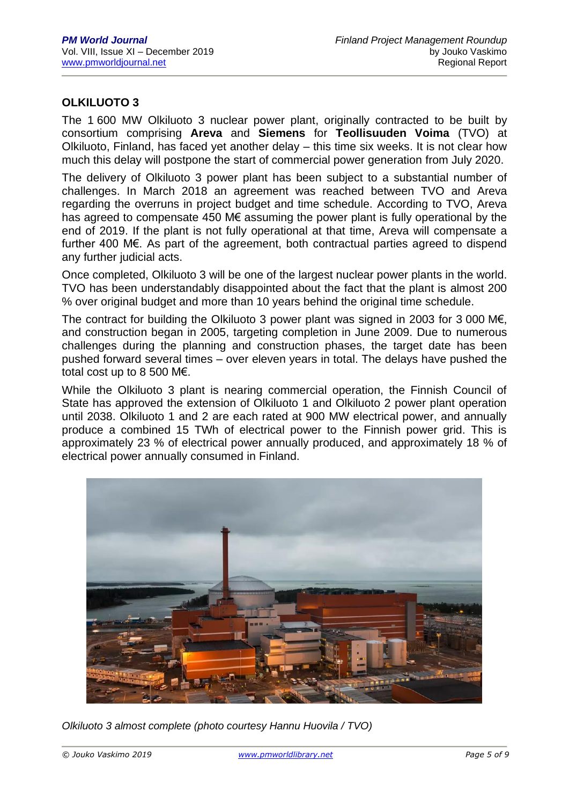## **OLKILUOTO 3**

The 1 600 MW Olkiluoto 3 nuclear power plant, originally contracted to be built by consortium comprising **Areva** and **Siemens** for **Teollisuuden Voima** (TVO) at Olkiluoto, Finland, has faced yet another delay – this time six weeks. It is not clear how much this delay will postpone the start of commercial power generation from July 2020.

The delivery of Olkiluoto 3 power plant has been subject to a substantial number of challenges. In March 2018 an agreement was reached between TVO and Areva regarding the overruns in project budget and time schedule. According to TVO, Areva has agreed to compensate 450 M€ assuming the power plant is fully operational by the end of 2019. If the plant is not fully operational at that time, Areva will compensate a further 400 M€. As part of the agreement, both contractual parties agreed to dispend any further judicial acts.

Once completed, Olkiluoto 3 will be one of the largest nuclear power plants in the world. TVO has been understandably disappointed about the fact that the plant is almost 200 % over original budget and more than 10 years behind the original time schedule.

The contract for building the Olkiluoto 3 power plant was signed in 2003 for 3 000 M€, and construction began in 2005, targeting completion in June 2009. Due to numerous challenges during the planning and construction phases, the target date has been pushed forward several times – over eleven years in total. The delays have pushed the total cost up to 8 500 M€.

While the Olkiluoto 3 plant is nearing commercial operation, the Finnish Council of State has approved the extension of Olkiluoto 1 and Olkiluoto 2 power plant operation until 2038. Olkiluoto 1 and 2 are each rated at 900 MW electrical power, and annually produce a combined 15 TWh of electrical power to the Finnish power grid. This is approximately 23 % of electrical power annually produced, and approximately 18 % of electrical power annually consumed in Finland.



*Olkiluoto 3 almost complete (photo courtesy Hannu Huovila / TVO)*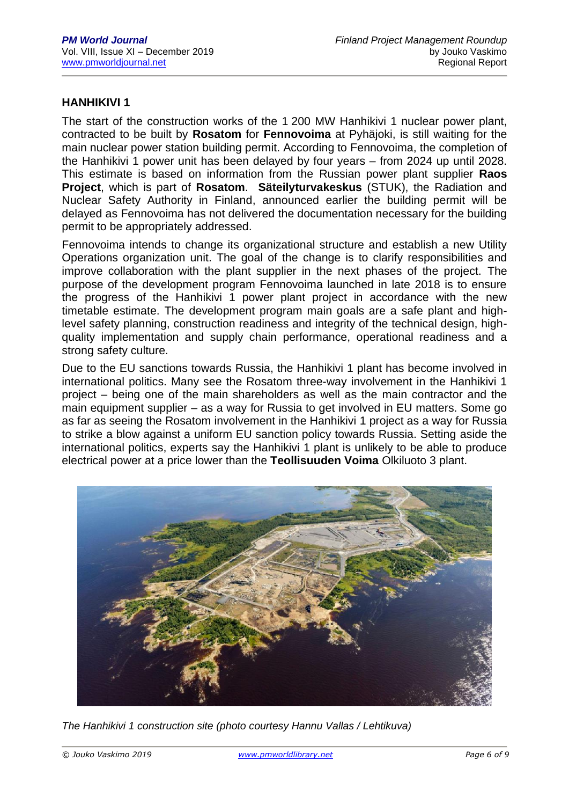## **HANHIKIVI 1**

The start of the construction works of the 1 200 MW Hanhikivi 1 nuclear power plant, contracted to be built by **Rosatom** for **Fennovoima** at Pyhäjoki, is still waiting for the main nuclear power station building permit. According to Fennovoima, the completion of the Hanhikivi 1 power unit has been delayed by four years – from 2024 up until 2028. This estimate is based on information from the Russian power plant supplier **Raos Project**, which is part of **Rosatom**. **Säteilyturvakeskus** (STUK), the Radiation and Nuclear Safety Authority in Finland, announced earlier the building permit will be delayed as Fennovoima has not delivered the documentation necessary for the building permit to be appropriately addressed.

Fennovoima intends to change its organizational structure and establish a new Utility Operations organization unit. The goal of the change is to clarify responsibilities and improve collaboration with the plant supplier in the next phases of the project. The purpose of the development program Fennovoima launched in late 2018 is to ensure the progress of the Hanhikivi 1 power plant project in accordance with the new timetable estimate. The development program main goals are a safe plant and highlevel safety planning, construction readiness and integrity of the technical design, highquality implementation and supply chain performance, operational readiness and a strong safety culture.

Due to the EU sanctions towards Russia, the Hanhikivi 1 plant has become involved in international politics. Many see the Rosatom three-way involvement in the Hanhikivi 1 project – being one of the main shareholders as well as the main contractor and the main equipment supplier – as a way for Russia to get involved in EU matters. Some go as far as seeing the Rosatom involvement in the Hanhikivi 1 project as a way for Russia to strike a blow against a uniform EU sanction policy towards Russia. Setting aside the international politics, experts say the Hanhikivi 1 plant is unlikely to be able to produce electrical power at a price lower than the **Teollisuuden Voima** Olkiluoto 3 plant.



*The Hanhikivi 1 construction site (photo courtesy Hannu Vallas / Lehtikuva)*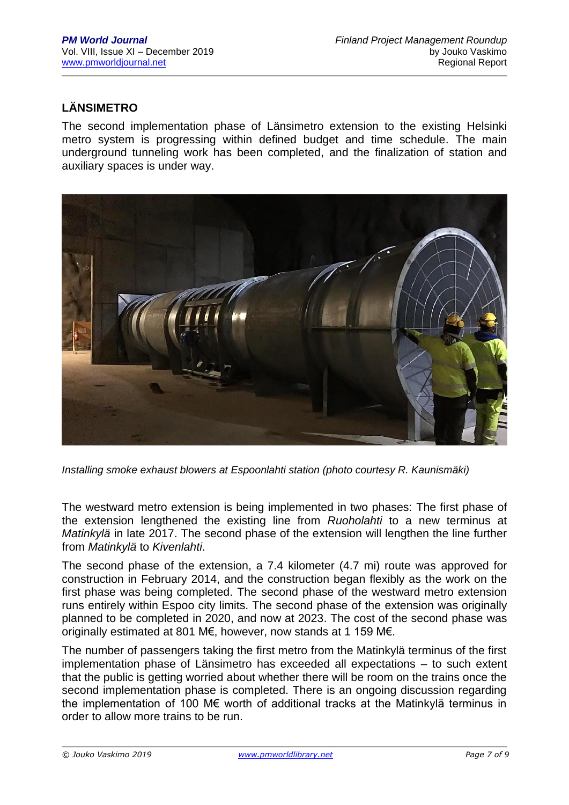# **LÄNSIMETRO**

The second implementation phase of Länsimetro extension to the existing Helsinki metro system is progressing within defined budget and time schedule. The main underground tunneling work has been completed, and the finalization of station and auxiliary spaces is under way.



*Installing smoke exhaust blowers at Espoonlahti station (photo courtesy R. Kaunismäki)*

The westward metro extension is being implemented in two phases: The first phase of the extension lengthened the existing line from *[Ruoholahti](https://en.wikipedia.org/wiki/Ruoholahti_metro_station)* to a new terminus at *[Matinkylä](https://en.wikipedia.org/wiki/Matinkyl%C3%A4)* in late 2017. The second phase of the extension will lengthen the line further from *Matinkylä* to *Kivenlahti*.

The second phase of the extension, a 7.4 kilometer (4.7 mi) route was approved for construction in February 2014, and the construction began flexibly as the work on the first phase was being completed. The second phase of the westward metro extension runs entirely within Espoo city limits. The second phase of the extension was originally planned to be completed in 2020, and now at 2023. The cost of the second phase was originally estimated at 801 M€, however, now stands at 1 159 M€.

The number of passengers taking the first metro from the Matinkylä terminus of the first implementation phase of Länsimetro has exceeded all expectations – to such extent that the public is getting worried about whether there will be room on the trains once the second implementation phase is completed. There is an ongoing discussion regarding the implementation of 100 M€ worth of additional tracks at the Matinkylä terminus in order to allow more trains to be run.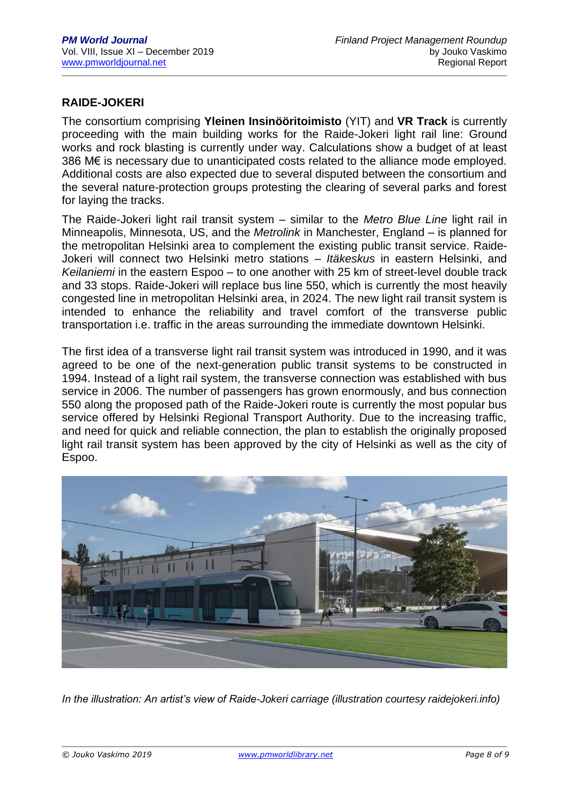## **RAIDE-JOKERI**

The consortium comprising **Yleinen Insinööritoimisto** (YIT) and **VR Track** is currently proceeding with the main building works for the Raide-Jokeri light rail line: Ground works and rock blasting is currently under way. Calculations show a budget of at least 386 M€ is necessary due to unanticipated costs related to the alliance mode employed. Additional costs are also expected due to several disputed between the consortium and the several nature-protection groups protesting the clearing of several parks and forest for laying the tracks.

The Raide-Jokeri light rail transit system – similar to the *Metro Blue Line* light rail in Minneapolis, Minnesota, US, and the *Metrolink* in Manchester, England – is planned for the metropolitan Helsinki area to complement the existing public transit service. Raide-Jokeri will connect two Helsinki metro stations – *Itäkeskus* in eastern Helsinki, and *Keilaniemi* in the eastern Espoo – to one another with 25 km of street-level double track and 33 stops. Raide-Jokeri will replace bus line 550, which is currently the most heavily congested line in metropolitan Helsinki area, in 2024. The new light rail transit system is intended to enhance the reliability and travel comfort of the transverse public transportation i.e. traffic in the areas surrounding the immediate downtown Helsinki.

The first idea of a transverse light rail transit system was introduced in 1990, and it was agreed to be one of the next-generation public transit systems to be constructed in 1994. Instead of a light rail system, the transverse connection was established with bus service in 2006. The number of passengers has grown enormously, and bus connection 550 along the proposed path of the Raide-Jokeri route is currently the most popular bus service offered by Helsinki Regional Transport Authority. Due to the increasing traffic, and need for quick and reliable connection, the plan to establish the originally proposed light rail transit system has been approved by the city of Helsinki as well as the city of Espoo.



*In the illustration: An artist's view of Raide-Jokeri carriage (illustration courtesy raidejokeri.info)*